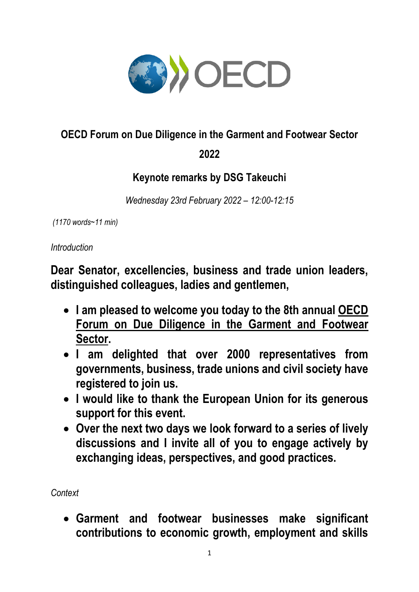

## **OECD Forum on Due Diligence in the Garment and Footwear Sector**

**2022**

## **Keynote remarks by DSG Takeuchi**

*Wednesday 23rd February 2022 – 12:00-12:15*

*(1170 words~11 min)* 

*Introduction* 

**Dear Senator, excellencies, business and trade union leaders, distinguished colleagues, ladies and gentlemen,**

- **I am pleased to welcome you today to the 8th annual [OECD](https://www.oecd.org/corporate/forum-on-due-diligence-in-the-garment-and-footwear-sector.htm)  [Forum on Due Diligence in the Garment and](https://www.oecd.org/corporate/forum-on-due-diligence-in-the-garment-and-footwear-sector.htm) Footwear [Sector.](https://www.oecd.org/corporate/forum-on-due-diligence-in-the-garment-and-footwear-sector.htm)**
- **I am delighted that over 2000 representatives from governments, business, trade unions and civil society have registered to join us.**
- **I would like to thank the European Union for its generous support for this event.**
- **Over the next two days we look forward to a series of lively discussions and I invite all of you to engage actively by exchanging ideas, perspectives, and good practices.**

*Context* 

 **Garment and footwear businesses make significant contributions to economic growth, employment and skills**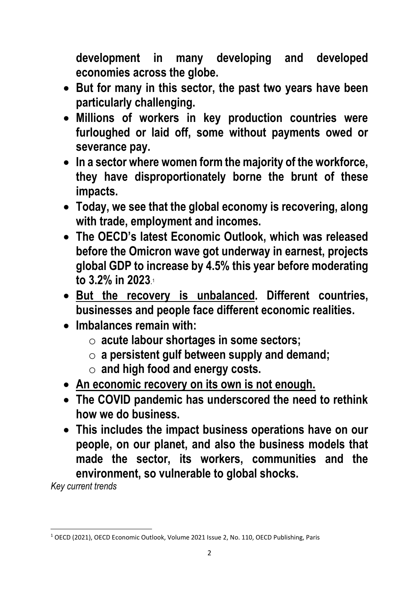**development in many developing and developed economies across the globe.** 

- **But for many in this sector, the past two years have been particularly challenging.**
- **Millions of workers in key production countries were furloughed or laid off, some without payments owed or severance pay.**
- **In a sector where women form the majority of the workforce, they have disproportionately borne the brunt of these impacts.**
- **Today, we see that the global economy is recovering, along with trade, employment and incomes.**
- **The OECD's latest Economic Outlook, which was released before the Omicron wave got underway in earnest, projects global GDP to increase by 4.5% this year before moderating to 3.2% in 2023**. 1
- **But the recovery is unbalanced. Different countries, businesses and people face different economic realities.**
- **Imbalances remain with:**
	- o **acute labour shortages in some sectors;**
	- o **a persistent gulf between supply and demand;**
	- o **and high food and energy costs.**
- **An economic recovery on its own is not enough.**
- **The COVID pandemic has underscored the need to rethink how we do business.**
- **This includes the impact business operations have on our people, on our planet, and also the business models that made the sector, its workers, communities and the environment, so vulnerable to global shocks.**

*Key current trends* 

**.** 

<sup>1</sup> OECD (2021), OECD Economic Outlook, Volume 2021 Issue 2, No. 110, OECD Publishing, Paris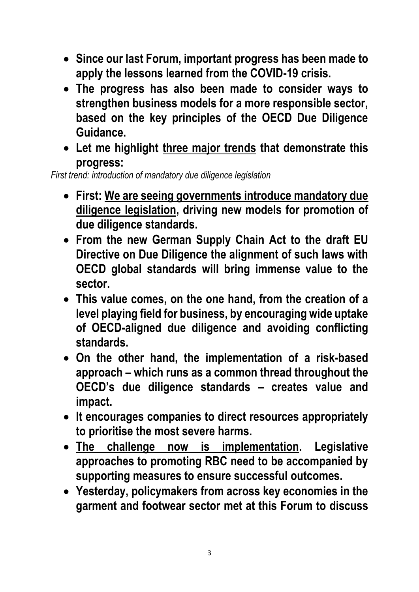- **Since our last Forum, important progress has been made to apply the lessons learned from the COVID-19 crisis.**
- **The progress has also been made to consider ways to strengthen business models for a more responsible sector, based on the key principles of the OECD Due Diligence Guidance.**
- **Let me highlight three major trends that demonstrate this progress:**

*First trend: introduction of mandatory due diligence legislation*

- **First: We are seeing governments introduce mandatory due diligence legislation, driving new models for promotion of due diligence standards.**
- **From the new German Supply Chain Act to the draft EU Directive on Due Diligence the alignment of such laws with OECD global standards will bring immense value to the sector.**
- **This value comes, on the one hand, from the creation of a level playing field for business, by encouraging wide uptake of OECD-aligned due diligence and avoiding conflicting standards.**
- **On the other hand, the implementation of a risk-based approach – which runs as a common thread throughout the OECD's due diligence standards – creates value and impact.**
- **It encourages companies to direct resources appropriately to prioritise the most severe harms.**
- **The challenge now is implementation. Legislative approaches to promoting RBC need to be accompanied by supporting measures to ensure successful outcomes.**
- **Yesterday, policymakers from across key economies in the garment and footwear sector met at this Forum to discuss**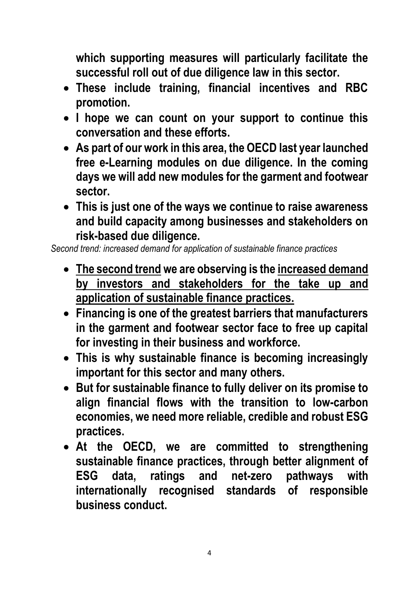**which supporting measures will particularly facilitate the successful roll out of due diligence law in this sector.** 

- **These include training, financial incentives and RBC promotion.**
- **I hope we can count on your support to continue this conversation and these efforts.**
- **As part of our work in this area, the OECD last year launched free e-Learning modules on due diligence. In the coming days we will add new modules for the garment and footwear sector.**
- **This is just one of the ways we continue to raise awareness and build capacity among businesses and stakeholders on risk-based due diligence.**

*Second trend: increased demand for application of sustainable finance practices* 

- **The second trend we are observing is the increased demand by investors and stakeholders for the take up and application of sustainable finance practices.**
- **Financing is one of the greatest barriers that manufacturers in the garment and footwear sector face to free up capital for investing in their business and workforce.**
- **This is why sustainable finance is becoming increasingly important for this sector and many others.**
- **But for sustainable finance to fully deliver on its promise to align financial flows with the transition to low-carbon economies, we need more reliable, credible and robust ESG practices.**
- **At the OECD, we are committed to strengthening sustainable finance practices, through better alignment of ESG data, ratings and net-zero pathways with internationally recognised standards of responsible business conduct.**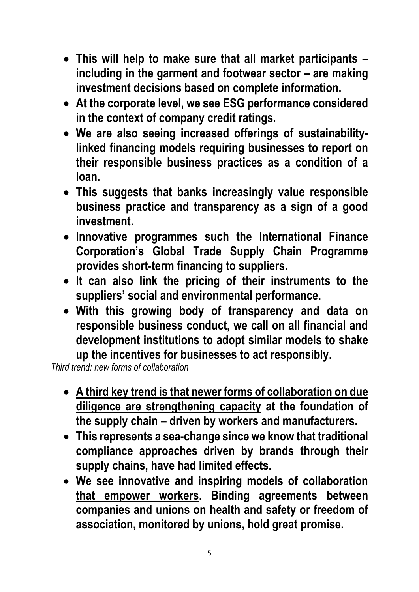- **This will help to make sure that all market participants – including in the garment and footwear sector – are making investment decisions based on complete information.**
- **At the corporate level, we see ESG performance considered in the context of company credit ratings.**
- **We are also seeing increased offerings of sustainabilitylinked financing models requiring businesses to report on their responsible business practices as a condition of a loan.**
- **This suggests that banks increasingly value responsible business practice and transparency as a sign of a good investment.**
- **Innovative programmes such the International Finance Corporation's Global Trade Supply Chain Programme provides short-term financing to suppliers.**
- **It can also link the pricing of their instruments to the suppliers' social and environmental performance.**
- **With this growing body of transparency and data on responsible business conduct, we call on all financial and development institutions to adopt similar models to shake up the incentives for businesses to act responsibly.**

*Third trend: new forms of collaboration* 

- **A third key trend is that newer forms of collaboration on due diligence are strengthening capacity at the foundation of the supply chain – driven by workers and manufacturers.**
- **This represents a sea-change since we know that traditional compliance approaches driven by brands through their supply chains, have had limited effects.**
- **We see innovative and inspiring models of collaboration that empower workers. Binding agreements between companies and unions on health and safety or freedom of association, monitored by unions, hold great promise.**